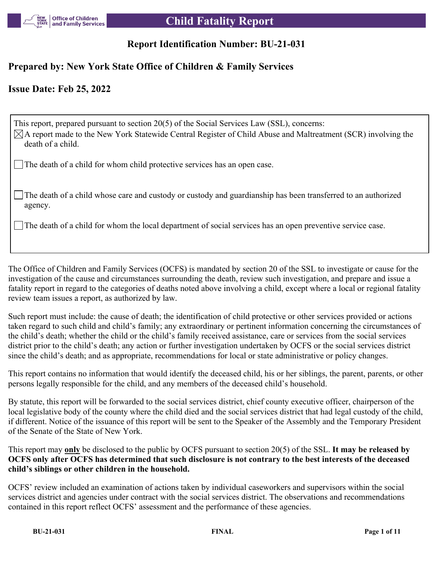

## **Report Identification Number: BU-21-031**

## **Prepared by: New York State Office of Children & Family Services**

## **Issue Date: Feb 25, 2022**

This report, prepared pursuant to section 20(5) of the Social Services Law (SSL), concerns:  $\boxtimes$ A report made to the New York Statewide Central Register of Child Abuse and Maltreatment (SCR) involving the death of a child.

The death of a child for whom child protective services has an open case.

The death of a child whose care and custody or custody and guardianship has been transferred to an authorized agency.

The death of a child for whom the local department of social services has an open preventive service case.

The Office of Children and Family Services (OCFS) is mandated by section 20 of the SSL to investigate or cause for the investigation of the cause and circumstances surrounding the death, review such investigation, and prepare and issue a fatality report in regard to the categories of deaths noted above involving a child, except where a local or regional fatality review team issues a report, as authorized by law.

Such report must include: the cause of death; the identification of child protective or other services provided or actions taken regard to such child and child's family; any extraordinary or pertinent information concerning the circumstances of the child's death; whether the child or the child's family received assistance, care or services from the social services district prior to the child's death; any action or further investigation undertaken by OCFS or the social services district since the child's death; and as appropriate, recommendations for local or state administrative or policy changes.

This report contains no information that would identify the deceased child, his or her siblings, the parent, parents, or other persons legally responsible for the child, and any members of the deceased child's household.

By statute, this report will be forwarded to the social services district, chief county executive officer, chairperson of the local legislative body of the county where the child died and the social services district that had legal custody of the child, if different. Notice of the issuance of this report will be sent to the Speaker of the Assembly and the Temporary President of the Senate of the State of New York.

This report may **only** be disclosed to the public by OCFS pursuant to section 20(5) of the SSL. **It may be released by OCFS only after OCFS has determined that such disclosure is not contrary to the best interests of the deceased child's siblings or other children in the household.**

OCFS' review included an examination of actions taken by individual caseworkers and supervisors within the social services district and agencies under contract with the social services district. The observations and recommendations contained in this report reflect OCFS' assessment and the performance of these agencies.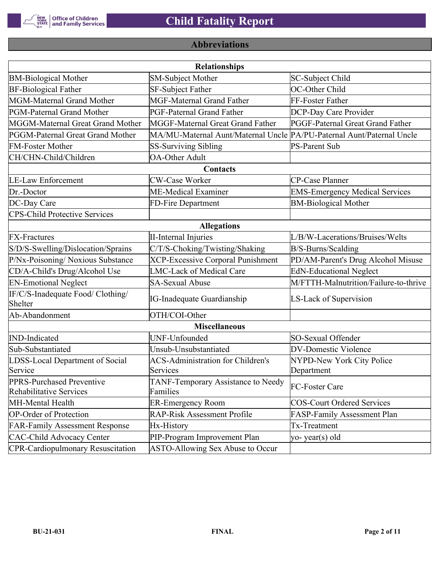

# **Abbreviations**

| <b>Relationships</b>                                        |                                                                       |                                       |  |  |  |  |  |
|-------------------------------------------------------------|-----------------------------------------------------------------------|---------------------------------------|--|--|--|--|--|
| <b>BM-Biological Mother</b>                                 | <b>SM-Subject Mother</b>                                              | SC-Subject Child                      |  |  |  |  |  |
| <b>BF-Biological Father</b>                                 | <b>SF-Subject Father</b>                                              | OC-Other Child                        |  |  |  |  |  |
| MGM-Maternal Grand Mother                                   | <b>MGF-Maternal Grand Father</b>                                      | FF-Foster Father                      |  |  |  |  |  |
| PGM-Paternal Grand Mother                                   | PGF-Paternal Grand Father                                             | DCP-Day Care Provider                 |  |  |  |  |  |
| MGGM-Maternal Great Grand Mother                            | MGGF-Maternal Great Grand Father                                      | PGGF-Paternal Great Grand Father      |  |  |  |  |  |
| PGGM-Paternal Great Grand Mother                            | MA/MU-Maternal Aunt/Maternal Uncle PA/PU-Paternal Aunt/Paternal Uncle |                                       |  |  |  |  |  |
| <b>FM-Foster Mother</b>                                     | <b>SS-Surviving Sibling</b>                                           | <b>PS-Parent Sub</b>                  |  |  |  |  |  |
| CH/CHN-Child/Children                                       | <b>OA-Other Adult</b>                                                 |                                       |  |  |  |  |  |
|                                                             | Contacts                                                              |                                       |  |  |  |  |  |
| <b>LE-Law Enforcement</b>                                   | <b>CW-Case Worker</b>                                                 | CP-Case Planner                       |  |  |  |  |  |
| Dr.-Doctor                                                  | ME-Medical Examiner                                                   | <b>EMS-Emergency Medical Services</b> |  |  |  |  |  |
| DC-Day Care                                                 | FD-Fire Department                                                    | <b>BM-Biological Mother</b>           |  |  |  |  |  |
| <b>CPS-Child Protective Services</b>                        |                                                                       |                                       |  |  |  |  |  |
|                                                             | <b>Allegations</b>                                                    |                                       |  |  |  |  |  |
| <b>FX-Fractures</b>                                         | <b>II-Internal Injuries</b>                                           | L/B/W-Lacerations/Bruises/Welts       |  |  |  |  |  |
| S/D/S-Swelling/Dislocation/Sprains                          | C/T/S-Choking/Twisting/Shaking                                        | B/S-Burns/Scalding                    |  |  |  |  |  |
| P/Nx-Poisoning/ Noxious Substance                           | <b>XCP-Excessive Corporal Punishment</b>                              | PD/AM-Parent's Drug Alcohol Misuse    |  |  |  |  |  |
| CD/A-Child's Drug/Alcohol Use                               | <b>LMC-Lack of Medical Care</b>                                       | <b>EdN-Educational Neglect</b>        |  |  |  |  |  |
| <b>EN-Emotional Neglect</b>                                 | <b>SA-Sexual Abuse</b>                                                | M/FTTH-Malnutrition/Failure-to-thrive |  |  |  |  |  |
| IF/C/S-Inadequate Food/ Clothing/<br>Shelter                | <b>IG-Inadequate Guardianship</b>                                     | LS-Lack of Supervision                |  |  |  |  |  |
| Ab-Abandonment                                              | OTH/COI-Other                                                         |                                       |  |  |  |  |  |
|                                                             | <b>Miscellaneous</b>                                                  |                                       |  |  |  |  |  |
| <b>IND-Indicated</b>                                        | UNF-Unfounded                                                         | SO-Sexual Offender                    |  |  |  |  |  |
| Sub-Substantiated                                           | Unsub-Unsubstantiated                                                 | <b>DV-Domestic Violence</b>           |  |  |  |  |  |
| LDSS-Local Department of Social                             | <b>ACS-Administration for Children's</b>                              | NYPD-New York City Police             |  |  |  |  |  |
| Service                                                     | Services                                                              | Department                            |  |  |  |  |  |
| PPRS-Purchased Preventive<br><b>Rehabilitative Services</b> | TANF-Temporary Assistance to Needy<br>Families                        | FC-Foster Care                        |  |  |  |  |  |
| MH-Mental Health                                            | <b>ER-Emergency Room</b>                                              | <b>COS-Court Ordered Services</b>     |  |  |  |  |  |
| <b>OP-Order of Protection</b>                               | <b>RAP-Risk Assessment Profile</b>                                    | FASP-Family Assessment Plan           |  |  |  |  |  |
| <b>FAR-Family Assessment Response</b>                       | Hx-History                                                            | Tx-Treatment                          |  |  |  |  |  |
| <b>CAC-Child Advocacy Center</b>                            | PIP-Program Improvement Plan                                          | yo-year(s) old                        |  |  |  |  |  |
| <b>CPR-Cardiopulmonary Resuscitation</b>                    | ASTO-Allowing Sex Abuse to Occur                                      |                                       |  |  |  |  |  |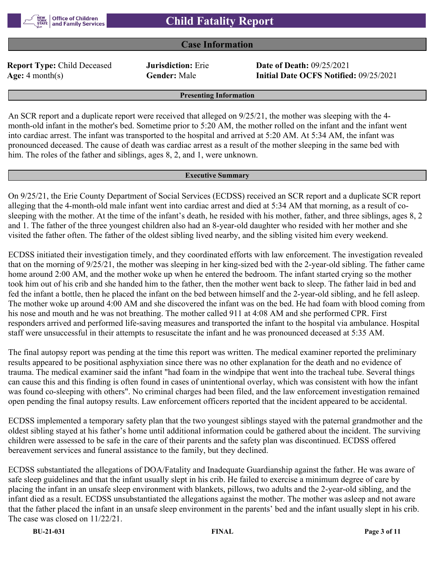

#### **Case Information**

**Report Type:** Child Deceased **Jurisdiction:** Erie **Date of Death:** 09/25/2021

**Age:** 4 month(s) **Gender:** Male **Initial Date OCFS Notified:** 09/25/2021

**Presenting Information**

An SCR report and a duplicate report were received that alleged on 9/25/21, the mother was sleeping with the 4 month-old infant in the mother's bed. Sometime prior to 5:20 AM, the mother rolled on the infant and the infant went into cardiac arrest. The infant was transported to the hospital and arrived at 5:20 AM. At 5:34 AM, the infant was pronounced deceased. The cause of death was cardiac arrest as a result of the mother sleeping in the same bed with him. The roles of the father and siblings, ages 8, 2, and 1, were unknown.

#### **Executive Summary**

On 9/25/21, the Erie County Department of Social Services (ECDSS) received an SCR report and a duplicate SCR report alleging that the 4-month-old male infant went into cardiac arrest and died at 5:34 AM that morning, as a result of cosleeping with the mother. At the time of the infant's death, he resided with his mother, father, and three siblings, ages 8, 2 and 1. The father of the three youngest children also had an 8-year-old daughter who resided with her mother and she visited the father often. The father of the oldest sibling lived nearby, and the sibling visited him every weekend.

ECDSS initiated their investigation timely, and they coordinated efforts with law enforcement. The investigation revealed that on the morning of 9/25/21, the mother was sleeping in her king-sized bed with the 2-year-old sibling. The father came home around 2:00 AM, and the mother woke up when he entered the bedroom. The infant started crying so the mother took him out of his crib and she handed him to the father, then the mother went back to sleep. The father laid in bed and fed the infant a bottle, then he placed the infant on the bed between himself and the 2-year-old sibling, and he fell asleep. The mother woke up around 4:00 AM and she discovered the infant was on the bed. He had foam with blood coming from his nose and mouth and he was not breathing. The mother called 911 at 4:08 AM and she performed CPR. First responders arrived and performed life-saving measures and transported the infant to the hospital via ambulance. Hospital staff were unsuccessful in their attempts to resuscitate the infant and he was pronounced deceased at 5:35 AM.

The final autopsy report was pending at the time this report was written. The medical examiner reported the preliminary results appeared to be positional asphyxiation since there was no other explanation for the death and no evidence of trauma. The medical examiner said the infant "had foam in the windpipe that went into the tracheal tube. Several things can cause this and this finding is often found in cases of unintentional overlay, which was consistent with how the infant was found co-sleeping with others". No criminal charges had been filed, and the law enforcement investigation remained open pending the final autopsy results. Law enforcement officers reported that the incident appeared to be accidental.

ECDSS implemented a temporary safety plan that the two youngest siblings stayed with the paternal grandmother and the oldest sibling stayed at his father's home until additional information could be gathered about the incident. The surviving children were assessed to be safe in the care of their parents and the safety plan was discontinued. ECDSS offered bereavement services and funeral assistance to the family, but they declined.

ECDSS substantiated the allegations of DOA/Fatality and Inadequate Guardianship against the father. He was aware of safe sleep guidelines and that the infant usually slept in his crib. He failed to exercise a minimum degree of care by placing the infant in an unsafe sleep environment with blankets, pillows, two adults and the 2-year-old sibling, and the infant died as a result. ECDSS unsubstantiated the allegations against the mother. The mother was asleep and not aware that the father placed the infant in an unsafe sleep environment in the parents' bed and the infant usually slept in his crib. The case was closed on 11/22/21.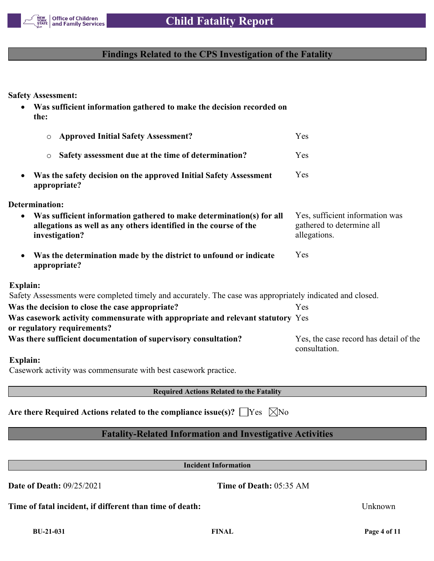

## **Findings Related to the CPS Investigation of the Fatality**

**Safety Assessment:**

 **Was sufficient information gathered to make the decision recorded on the:** o **Approved Initial Safety Assessment?** Yes o **Safety assessment due at the time of determination?** Yes **Was the safety decision on the approved Initial Safety Assessment appropriate?** Yes **Determination: Was sufficient information gathered to make determination(s) for all allegations as well as any others identified in the course of the investigation?** Yes, sufficient information was gathered to determine all allegations. **Was the determination made by the district to unfound or indicate appropriate?** Yes **Explain:** Safety Assessments were completed timely and accurately. The case was appropriately indicated and closed. **Was the decision to close the case appropriate?** Yes **Was casework activity commensurate with appropriate and relevant statutory**  Yes **or regulatory requirements?** Was there sufficient documentation of supervisory consultation? Yes, the case record has detail of the consultation. **Explain:** Casework activity was commensurate with best casework practice.

**Required Actions Related to the Fatality**

Are there Required Actions related to the compliance issue(s)?  $\Box$  Yes  $\Box$  No

## **Fatality-Related Information and Investigative Activities**

**Incident Information**

**Date of Death:** 09/25/2021 **Time of Death:** 05:35 AM

**Time of fatal incident, if different than time of death:** Unknown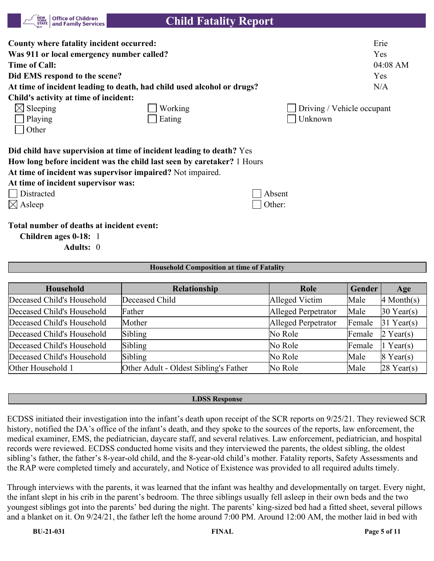| NEW<br>YORK<br><b>Office of Children</b><br>and Family Services<br><b>STATE</b>                                                                                                                                                                                   | <b>Child Fatality Report</b> |                            |                                       |
|-------------------------------------------------------------------------------------------------------------------------------------------------------------------------------------------------------------------------------------------------------------------|------------------------------|----------------------------|---------------------------------------|
| County where fatality incident occurred:<br>Was 911 or local emergency number called?<br><b>Time of Call:</b><br>Did EMS respond to the scene?<br>At time of incident leading to death, had child used alcohol or drugs?<br>Child's activity at time of incident: |                              |                            | Erie<br>Yes<br>04:08 AM<br>Yes<br>N/A |
| $\boxtimes$ Sleeping                                                                                                                                                                                                                                              | Working                      | Driving / Vehicle occupant |                                       |
| Playing                                                                                                                                                                                                                                                           | Eating                       | Unknown                    |                                       |
| Other                                                                                                                                                                                                                                                             |                              |                            |                                       |
| Did child have supervision at time of incident leading to death? Yes<br>How long before incident was the child last seen by caretaker? 1 Hours<br>At time of incident was supervisor impaired? Not impaired.                                                      |                              |                            |                                       |
| At time of incident supervisor was:                                                                                                                                                                                                                               |                              |                            |                                       |
| Distracted                                                                                                                                                                                                                                                        |                              | Absent                     |                                       |
| $\boxtimes$ Asleep                                                                                                                                                                                                                                                |                              | Other:                     |                                       |
| Total number of deaths at incident event:                                                                                                                                                                                                                         |                              |                            |                                       |
| Children ages 0-18: 1                                                                                                                                                                                                                                             |                              |                            |                                       |
| Adults: 0                                                                                                                                                                                                                                                         |                              |                            |                                       |

#### **Household Composition at time of Fatality**

| Household                  | <b>Relationship</b>                   | Role                | Gender | Age          |
|----------------------------|---------------------------------------|---------------------|--------|--------------|
| Deceased Child's Household | Deceased Child                        | Alleged Victim      | Male   | $4$ Month(s) |
| Deceased Child's Household | Father                                | Alleged Perpetrator | Male   | $30$ Year(s) |
| Deceased Child's Household | Mother                                | Alleged Perpetrator | Female | $31$ Year(s) |
| Deceased Child's Household | Sibling                               | No Role             | Female | $2$ Year(s)  |
| Deceased Child's Household | Sibling                               | No Role             | Female | $1$ Year(s)  |
| Deceased Child's Household | Sibling                               | No Role             | Male   | $8$ Year(s)  |
| Other Household 1          | Other Adult - Oldest Sibling's Father | No Role             | Male   | $28$ Year(s) |

#### **LDSS Response**

ECDSS initiated their investigation into the infant's death upon receipt of the SCR reports on 9/25/21. They reviewed SCR history, notified the DA's office of the infant's death, and they spoke to the sources of the reports, law enforcement, the medical examiner, EMS, the pediatrician, daycare staff, and several relatives. Law enforcement, pediatrician, and hospital records were reviewed. ECDSS conducted home visits and they interviewed the parents, the oldest sibling, the oldest sibling's father, the father's 8-year-old child, and the 8-year-old child's mother. Fatality reports, Safety Assessments and the RAP were completed timely and accurately, and Notice of Existence was provided to all required adults timely.

Through interviews with the parents, it was learned that the infant was healthy and developmentally on target. Every night, the infant slept in his crib in the parent's bedroom. The three siblings usually fell asleep in their own beds and the two youngest siblings got into the parents' bed during the night. The parents' king-sized bed had a fitted sheet, several pillows and a blanket on it. On 9/24/21, the father left the home around 7:00 PM. Around 12:00 AM, the mother laid in bed with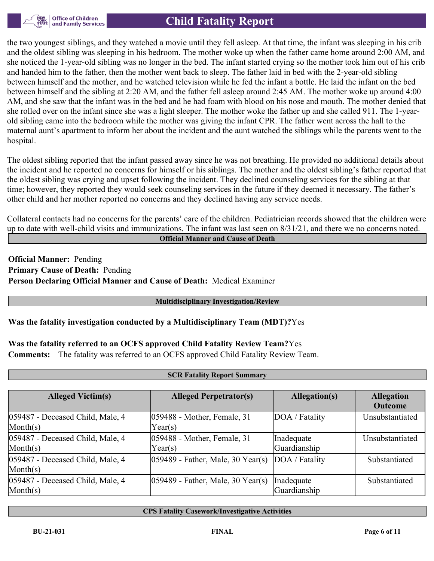

the two youngest siblings, and they watched a movie until they fell asleep. At that time, the infant was sleeping in his crib and the oldest sibling was sleeping in his bedroom. The mother woke up when the father came home around 2:00 AM, and she noticed the 1-year-old sibling was no longer in the bed. The infant started crying so the mother took him out of his crib and handed him to the father, then the mother went back to sleep. The father laid in bed with the 2-year-old sibling between himself and the mother, and he watched television while he fed the infant a bottle. He laid the infant on the bed between himself and the sibling at 2:20 AM, and the father fell asleep around 2:45 AM. The mother woke up around 4:00 AM, and she saw that the infant was in the bed and he had foam with blood on his nose and mouth. The mother denied that she rolled over on the infant since she was a light sleeper. The mother woke the father up and she called 911. The 1-yearold sibling came into the bedroom while the mother was giving the infant CPR. The father went across the hall to the maternal aunt's apartment to inform her about the incident and the aunt watched the siblings while the parents went to the hospital.

The oldest sibling reported that the infant passed away since he was not breathing. He provided no additional details about the incident and he reported no concerns for himself or his siblings. The mother and the oldest sibling's father reported that the oldest sibling was crying and upset following the incident. They declined counseling services for the sibling at that time; however, they reported they would seek counseling services in the future if they deemed it necessary. The father's other child and her mother reported no concerns and they declined having any service needs.

Collateral contacts had no concerns for the parents' care of the children. Pediatrician records showed that the children were up to date with well-child visits and immunizations. The infant was last seen on  $8/31/21$ , and there we no concerns noted.

**Official Manner and Cause of Death**

**Official Manner:** Pending **Primary Cause of Death:** Pending **Person Declaring Official Manner and Cause of Death:** Medical Examiner

#### **Multidisciplinary Investigation/Review**

## **Was the fatality investigation conducted by a Multidisciplinary Team (MDT)?**Yes

## **Was the fatality referred to an OCFS approved Child Fatality Review Team?**Yes

**Comments:** The fatality was referred to an OCFS approved Child Fatality Review Team.

| <b>SCR Fatality Report Summary</b> |                                      |                      |                   |  |  |  |  |
|------------------------------------|--------------------------------------|----------------------|-------------------|--|--|--|--|
|                                    |                                      |                      |                   |  |  |  |  |
| <b>Alleged Victim(s)</b>           | <b>Alleged Perpetrator(s)</b>        | <b>Allegation(s)</b> | <b>Allegation</b> |  |  |  |  |
|                                    |                                      |                      | <b>Outcome</b>    |  |  |  |  |
| 059487 - Deceased Child, Male, 4   | 059488 - Mother, Female, 31          | DOA / Fatality       | Unsubstantiated   |  |  |  |  |
| $\text{Month}(s)$                  | Year(s)                              |                      |                   |  |  |  |  |
| 059487 - Deceased Child, Male, 4   | 059488 - Mother, Female, 31          | Inadequate           | Unsubstantiated   |  |  |  |  |
| $\text{Month}(s)$                  | Year(s)                              | Guardianship         |                   |  |  |  |  |
| 059487 - Deceased Child, Male, 4   | $ 059489 -$ Father, Male, 30 Year(s) | DOA / Fatality       | Substantiated     |  |  |  |  |
| $\text{Month}(s)$                  |                                      |                      |                   |  |  |  |  |
| 059487 - Deceased Child, Male, 4   | $ 059489 -$ Father, Male, 30 Year(s) | Inadequate           | Substantiated     |  |  |  |  |
| $\text{Month}(s)$                  |                                      | Guardianship         |                   |  |  |  |  |

#### **CPS Fatality Casework/Investigative Activities**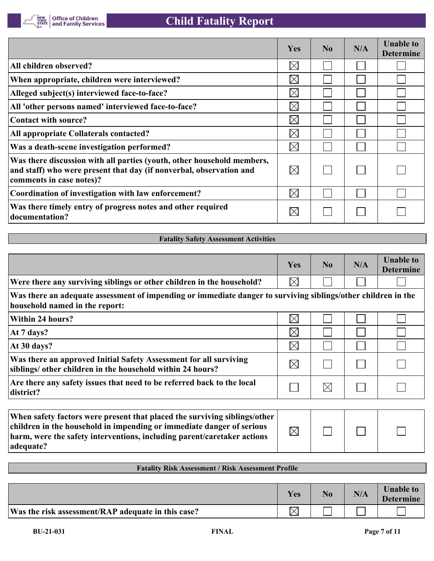

|                                                                                                                                                                           | Yes         | N <sub>0</sub> | N/A | <b>Unable to</b><br><b>Determine</b> |
|---------------------------------------------------------------------------------------------------------------------------------------------------------------------------|-------------|----------------|-----|--------------------------------------|
| All children observed?                                                                                                                                                    | $\times$    |                |     |                                      |
| When appropriate, children were interviewed?                                                                                                                              | $\times$    |                |     |                                      |
| Alleged subject(s) interviewed face-to-face?                                                                                                                              | $\boxtimes$ |                |     |                                      |
| All 'other persons named' interviewed face-to-face?                                                                                                                       | $\boxtimes$ |                |     |                                      |
| Contact with source?                                                                                                                                                      | $\times$    |                |     |                                      |
| All appropriate Collaterals contacted?                                                                                                                                    | $\bowtie$   |                |     |                                      |
| Was a death-scene investigation performed?                                                                                                                                | $\times$    |                |     |                                      |
| Was there discussion with all parties (youth, other household members,<br>and staff) who were present that day (if nonverbal, observation and<br>comments in case notes)? | $\boxtimes$ |                |     |                                      |
| Coordination of investigation with law enforcement?                                                                                                                       | $\times$    |                |     |                                      |
| Was there timely entry of progress notes and other required<br>documentation?                                                                                             | $\times$    |                |     |                                      |

## **Fatality Safety Assessment Activities**

|                                                                                                                                                                                                                                            | Yes         | N <sub>0</sub> | N/A | <b>Unable to</b><br><b>Determine</b> |
|--------------------------------------------------------------------------------------------------------------------------------------------------------------------------------------------------------------------------------------------|-------------|----------------|-----|--------------------------------------|
| Were there any surviving siblings or other children in the household?                                                                                                                                                                      | $\times$    |                |     |                                      |
| Was there an adequate assessment of impending or immediate danger to surviving siblings/other children in the<br>household named in the report:                                                                                            |             |                |     |                                      |
| Within 24 hours?                                                                                                                                                                                                                           | $\boxtimes$ |                |     |                                      |
| At 7 days?                                                                                                                                                                                                                                 | $\boxtimes$ |                |     |                                      |
| At 30 days?                                                                                                                                                                                                                                | $\times$    |                |     |                                      |
| Was there an approved Initial Safety Assessment for all surviving<br>siblings/ other children in the household within 24 hours?                                                                                                            | $\boxtimes$ |                |     |                                      |
| Are there any safety issues that need to be referred back to the local<br>district?                                                                                                                                                        |             | $\boxtimes$    |     |                                      |
|                                                                                                                                                                                                                                            |             |                |     |                                      |
| When safety factors were present that placed the surviving siblings/other<br>children in the household in impending or immediate danger of serious<br>harm, were the safety interventions, including parent/caretaker actions<br>adequate? | $\boxtimes$ |                |     |                                      |

## **Fatality Risk Assessment / Risk Assessment Profile**

|                                                    | Yes | N/A | <b>Unable to</b><br><b>Determine</b> |
|----------------------------------------------------|-----|-----|--------------------------------------|
| Was the risk assessment/RAP adequate in this case? |     |     |                                      |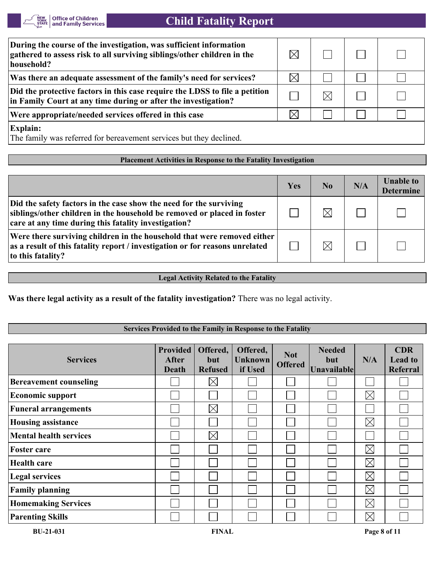

| During the course of the investigation, was sufficient information<br>gathered to assess risk to all surviving siblings/other children in the<br>household? | $\bowtie$   |    |  |
|-------------------------------------------------------------------------------------------------------------------------------------------------------------|-------------|----|--|
| Was there an adequate assessment of the family's need for services?                                                                                         | $\boxtimes$ |    |  |
| Did the protective factors in this case require the LDSS to file a petition<br>in Family Court at any time during or after the investigation?               |             | IХ |  |
| Were appropriate/needed services offered in this case                                                                                                       | $\times$    |    |  |
| <b>Explain:</b><br>The family was referred for bereavement services but they declined.                                                                      |             |    |  |

#### **Placement Activities in Response to the Fatality Investigation**

|                                                                                                                                                                                                       | Yes | N <sub>0</sub> | N/A | <b>Unable to</b><br><b>Determine</b> |
|-------------------------------------------------------------------------------------------------------------------------------------------------------------------------------------------------------|-----|----------------|-----|--------------------------------------|
| Did the safety factors in the case show the need for the surviving<br>siblings/other children in the household be removed or placed in foster<br>care at any time during this fatality investigation? |     | $\times$       |     |                                      |
| Were there surviving children in the household that were removed either<br>as a result of this fatality report / investigation or for reasons unrelated<br>to this fatality?                          |     | $\times$       |     |                                      |

## **Legal Activity Related to the Fatality**

**Was there legal activity as a result of the fatality investigation?** There was no legal activity.

## **Services Provided to the Family in Response to the Fatality**

| <b>Services</b>               | <b>Provided</b><br><b>After</b><br><b>Death</b> | Offered,<br>but<br><b>Refused</b> | Offered,<br><b>Unknown</b><br>if Used | <b>Not</b><br><b>Offered</b> | <b>Needed</b><br><b>but</b><br>Unavailable | N/A         | <b>CDR</b><br><b>Lead to</b><br><b>Referral</b> |
|-------------------------------|-------------------------------------------------|-----------------------------------|---------------------------------------|------------------------------|--------------------------------------------|-------------|-------------------------------------------------|
| <b>Bereavement counseling</b> |                                                 | $\boxtimes$                       |                                       |                              |                                            |             |                                                 |
| <b>Economic support</b>       |                                                 |                                   |                                       |                              |                                            | $\boxtimes$ |                                                 |
| <b>Funeral arrangements</b>   |                                                 | $\boxtimes$                       |                                       |                              |                                            |             |                                                 |
| <b>Housing assistance</b>     |                                                 |                                   |                                       |                              |                                            | $\boxtimes$ |                                                 |
| <b>Mental health services</b> |                                                 | $\boxtimes$                       |                                       |                              |                                            |             |                                                 |
| <b>Foster care</b>            |                                                 |                                   |                                       |                              |                                            | $\boxtimes$ |                                                 |
| <b>Health care</b>            |                                                 |                                   |                                       |                              |                                            | $\boxtimes$ |                                                 |
| <b>Legal services</b>         |                                                 |                                   |                                       |                              |                                            | $\boxtimes$ |                                                 |
| <b>Family planning</b>        |                                                 |                                   |                                       |                              |                                            | $\boxtimes$ |                                                 |
| <b>Homemaking Services</b>    |                                                 |                                   |                                       |                              |                                            | $\boxtimes$ |                                                 |
| <b>Parenting Skills</b>       |                                                 |                                   |                                       |                              |                                            | $\boxtimes$ |                                                 |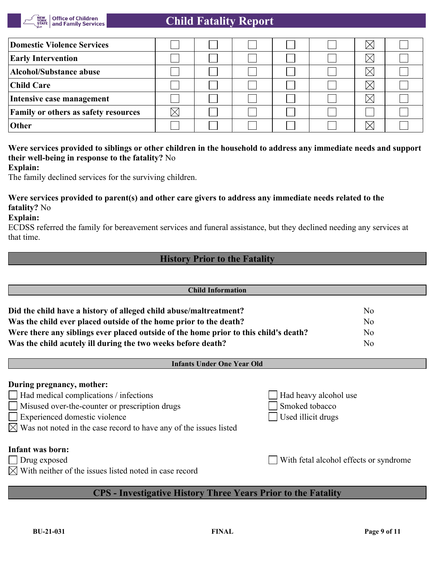

| Domestic Violence Services                  |  |  |  |  |
|---------------------------------------------|--|--|--|--|
| <b>Early Intervention</b>                   |  |  |  |  |
| Alcohol/Substance abuse                     |  |  |  |  |
| Child Care                                  |  |  |  |  |
| Intensive case management                   |  |  |  |  |
| <b>Family or others as safety resources</b> |  |  |  |  |
| <b>Other</b>                                |  |  |  |  |

## **Were services provided to siblings or other children in the household to address any immediate needs and support their well-being in response to the fatality?** No

**Explain:**

The family declined services for the surviving children.

## **Were services provided to parent(s) and other care givers to address any immediate needs related to the fatality?** No

**Explain:**

ECDSS referred the family for bereavement services and funeral assistance, but they declined needing any services at that time.

## **History Prior to the Fatality**

| <b>Child Information</b>                                                             |                |  |  |  |  |
|--------------------------------------------------------------------------------------|----------------|--|--|--|--|
|                                                                                      |                |  |  |  |  |
| Did the child have a history of alleged child abuse/maltreatment?                    | No             |  |  |  |  |
| Was the child ever placed outside of the home prior to the death?                    | No             |  |  |  |  |
| Were there any siblings ever placed outside of the home prior to this child's death? | No             |  |  |  |  |
| Was the child acutely ill during the two weeks before death?                         | N <sub>o</sub> |  |  |  |  |
|                                                                                      |                |  |  |  |  |

#### **Infants Under One Year Old**

# **During pregnancy, mother:** Had medical complications / infections Had heavy alcohol use Misused over-the-counter or prescription drugs Smoked tobacco Experienced domestic violence Used illicit drugs  $\boxtimes$  Was not noted in the case record to have any of the issues listed **Infant was born:** Drug exposed With fetal alcohol effects or syndrome

 $\boxtimes$  With neither of the issues listed noted in case record

# **CPS - Investigative History Three Years Prior to the Fatality**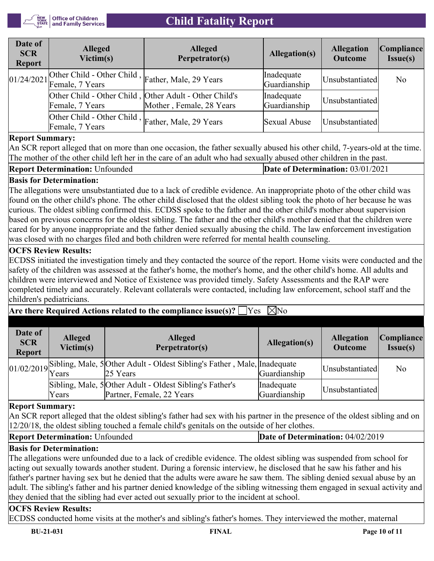

| Date of<br><b>SCR</b><br><b>Report</b> | <b>Alleged</b><br>Victim(s)                                          | <b>Alleged</b><br>Perpetrator(s)                                                   | Allegation(s)              | <b>Allegation</b><br><b>Outcome</b> | Compliance <br>Issue(s) |
|----------------------------------------|----------------------------------------------------------------------|------------------------------------------------------------------------------------|----------------------------|-------------------------------------|-------------------------|
|                                        | 01/24/2021 Other Child - Other Child, Father, Male, 29 Years         |                                                                                    | Inadequate<br>Guardianship | Unsubstantiated                     | No                      |
|                                        | Female, 7 Years                                                      | Other Child - Other Child, Other Adult - Other Child's<br>Mother, Female, 28 Years | Inadequate<br>Guardianship | Unsubstantiated                     |                         |
|                                        | Other Child - Other Child, Father, Male, 29 Years<br>Female, 7 Years |                                                                                    | Sexual Abuse               | Unsubstantiated                     |                         |

## **Report Summary:**

An SCR report alleged that on more than one occasion, the father sexually abused his other child, 7-years-old at the time. The mother of the other child left her in the care of an adult who had sexually abused other children in the past.

#### **Report Determination:** Unfounded **Date of Determination:** 03/01/2021

## **Basis for Determination:**

The allegations were unsubstantiated due to a lack of credible evidence. An inappropriate photo of the other child was found on the other child's phone. The other child disclosed that the oldest sibling took the photo of her because he was curious. The oldest sibling confirmed this. ECDSS spoke to the father and the other child's mother about supervision based on previous concerns for the oldest sibling. The father and the other child's mother denied that the children were cared for by anyone inappropriate and the father denied sexually abusing the child. The law enforcement investigation was closed with no charges filed and both children were referred for mental health counseling.

## **OCFS Review Results:**

ECDSS initiated the investigation timely and they contacted the source of the report. Home visits were conducted and the safety of the children was assessed at the father's home, the mother's home, and the other child's home. All adults and children were interviewed and Notice of Existence was provided timely. Safety Assessments and the RAP were completed timely and accurately. Relevant collaterals were contacted, including law enforcement, school staff and the children's pediatricians.

## **Are there Required Actions related to the compliance issue(s)?**  $\Box$  Yes  $\Box$  No

| Date of<br><b>SCR</b><br><b>Report</b> | <b>Alleged</b><br>Victim(s) | <b>Alleged</b><br>Perpetrator(s)                                                      | Allegation(s)              | <b>Allegation</b><br><b>Outcome</b> | Compliance <br>Issue(s) |
|----------------------------------------|-----------------------------|---------------------------------------------------------------------------------------|----------------------------|-------------------------------------|-------------------------|
|                                        |                             | 01/02/2019 Sibling, Male, 5 Other Adult - Oldest Sibling's Father, Male, Inadequate   | Guardianship               | Unsubstantiated                     | N <sub>o</sub>          |
|                                        | Years                       | Sibling, Male, 5 Other Adult - Oldest Sibling's Father's<br>Partner, Female, 22 Years | Inadequate<br>Guardianship | Unsubstantiated                     |                         |

#### **Report Summary:**

An SCR report alleged that the oldest sibling's father had sex with his partner in the presence of the oldest sibling and on 12/20/18, the oldest sibling touched a female child's genitals on the outside of her clothes.

**Report Determination:** Unfounded **Date of Determination: 04/02/2019** 

## **Basis for Determination:**

The allegations were unfounded due to a lack of credible evidence. The oldest sibling was suspended from school for acting out sexually towards another student. During a forensic interview, he disclosed that he saw his father and his father's partner having sex but he denied that the adults were aware he saw them. The sibling denied sexual abuse by an adult. The sibling's father and his partner denied knowledge of the sibling witnessing them engaged in sexual activity and they denied that the sibling had ever acted out sexually prior to the incident at school.

## **OCFS Review Results:**

ECDSS conducted home visits at the mother's and sibling's father's homes. They interviewed the mother, maternal